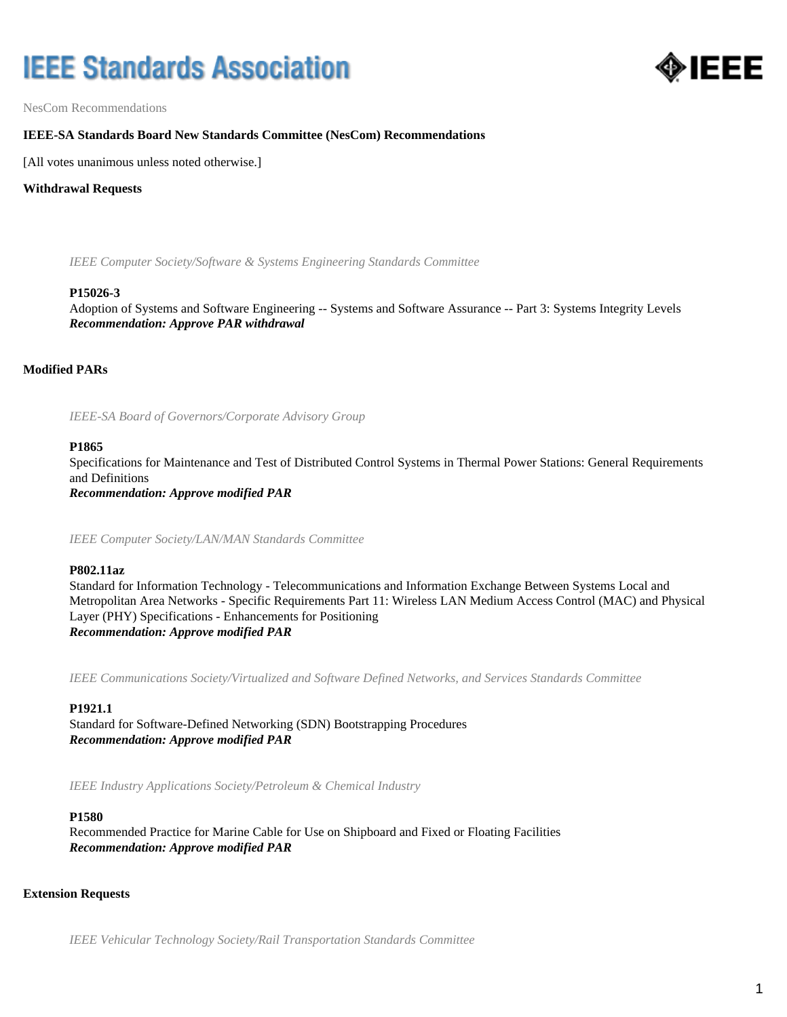# **IEEE Standards Association**



NesCom Recommendations

## **IEEE-SA Standards Board New Standards Committee (NesCom) Recommendations**

[All votes unanimous unless noted otherwise.]

#### **Withdrawal Requests**

*IEEE Computer Society/Software & Systems Engineering Standards Committee*

#### **P15026-3**

Adoption of Systems and Software Engineering -- Systems and Software Assurance -- Part 3: Systems Integrity Levels *Recommendation: Approve PAR withdrawal*

## **Modified PARs**

*IEEE-SA Board of Governors/Corporate Advisory Group*

#### **P1865**

Specifications for Maintenance and Test of Distributed Control Systems in Thermal Power Stations: General Requirements and Definitions *Recommendation: Approve modified PAR*

*IEEE Computer Society/LAN/MAN Standards Committee*

## **P802.11az**

Standard for Information Technology - Telecommunications and Information Exchange Between Systems Local and Metropolitan Area Networks - Specific Requirements Part 11: Wireless LAN Medium Access Control (MAC) and Physical Layer (PHY) Specifications - Enhancements for Positioning *Recommendation: Approve modified PAR*

*IEEE Communications Society/Virtualized and Software Defined Networks, and Services Standards Committee*

## **P1921.1**

Standard for Software-Defined Networking (SDN) Bootstrapping Procedures *Recommendation: Approve modified PAR*

*IEEE Industry Applications Society/Petroleum & Chemical Industry*

#### **P1580**

Recommended Practice for Marine Cable for Use on Shipboard and Fixed or Floating Facilities *Recommendation: Approve modified PAR*

## **Extension Requests**

*IEEE Vehicular Technology Society/Rail Transportation Standards Committee*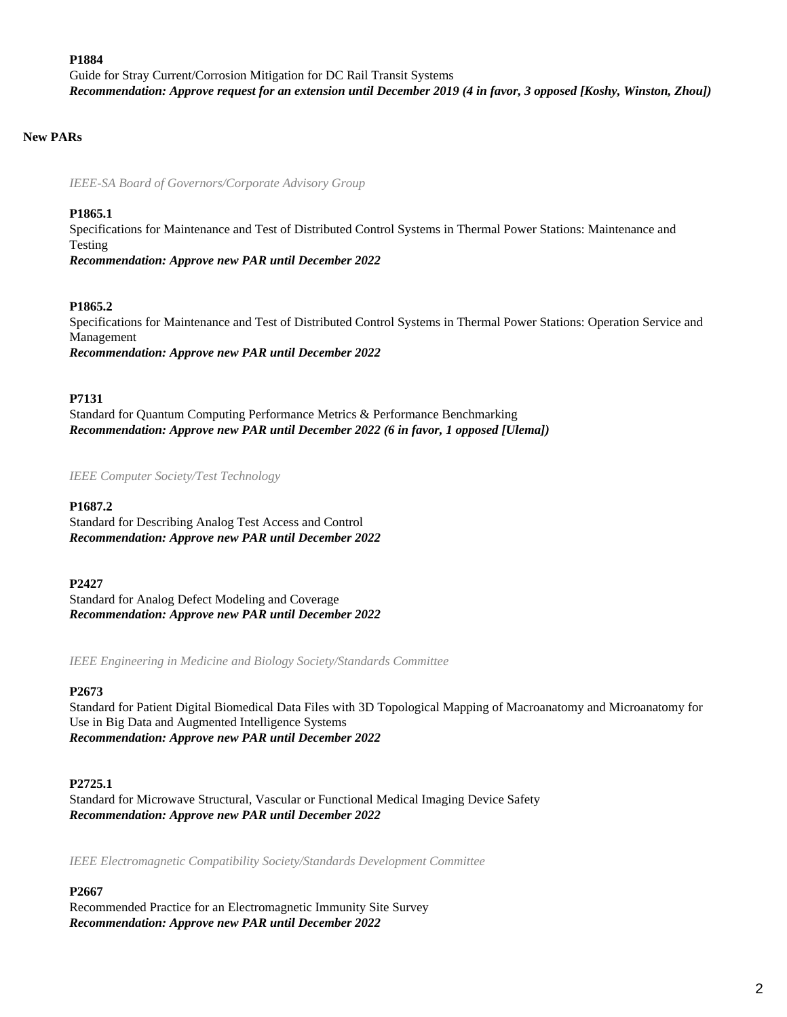#### **P1884**

Guide for Stray Current/Corrosion Mitigation for DC Rail Transit Systems *Recommendation: Approve request for an extension until December 2019 (4 in favor, 3 opposed [Koshy, Winston, Zhou])*

## **New PARs**

*IEEE-SA Board of Governors/Corporate Advisory Group*

## **P1865.1**

Specifications for Maintenance and Test of Distributed Control Systems in Thermal Power Stations: Maintenance and Testing

*Recommendation: Approve new PAR until December 2022*

## **P1865.2**

Specifications for Maintenance and Test of Distributed Control Systems in Thermal Power Stations: Operation Service and Management *Recommendation: Approve new PAR until December 2022*

## **P7131**

Standard for Quantum Computing Performance Metrics & Performance Benchmarking *Recommendation: Approve new PAR until December 2022 (6 in favor, 1 opposed [Ulema])*

*IEEE Computer Society/Test Technology*

## **P1687.2**

Standard for Describing Analog Test Access and Control *Recommendation: Approve new PAR until December 2022*

#### **P2427**

Standard for Analog Defect Modeling and Coverage *Recommendation: Approve new PAR until December 2022*

*IEEE Engineering in Medicine and Biology Society/Standards Committee*

## **P2673**

Standard for Patient Digital Biomedical Data Files with 3D Topological Mapping of Macroanatomy and Microanatomy for Use in Big Data and Augmented Intelligence Systems *Recommendation: Approve new PAR until December 2022*

## **P2725.1**

Standard for Microwave Structural, Vascular or Functional Medical Imaging Device Safety *Recommendation: Approve new PAR until December 2022*

*IEEE Electromagnetic Compatibility Society/Standards Development Committee*

## **P2667**

Recommended Practice for an Electromagnetic Immunity Site Survey *Recommendation: Approve new PAR until December 2022*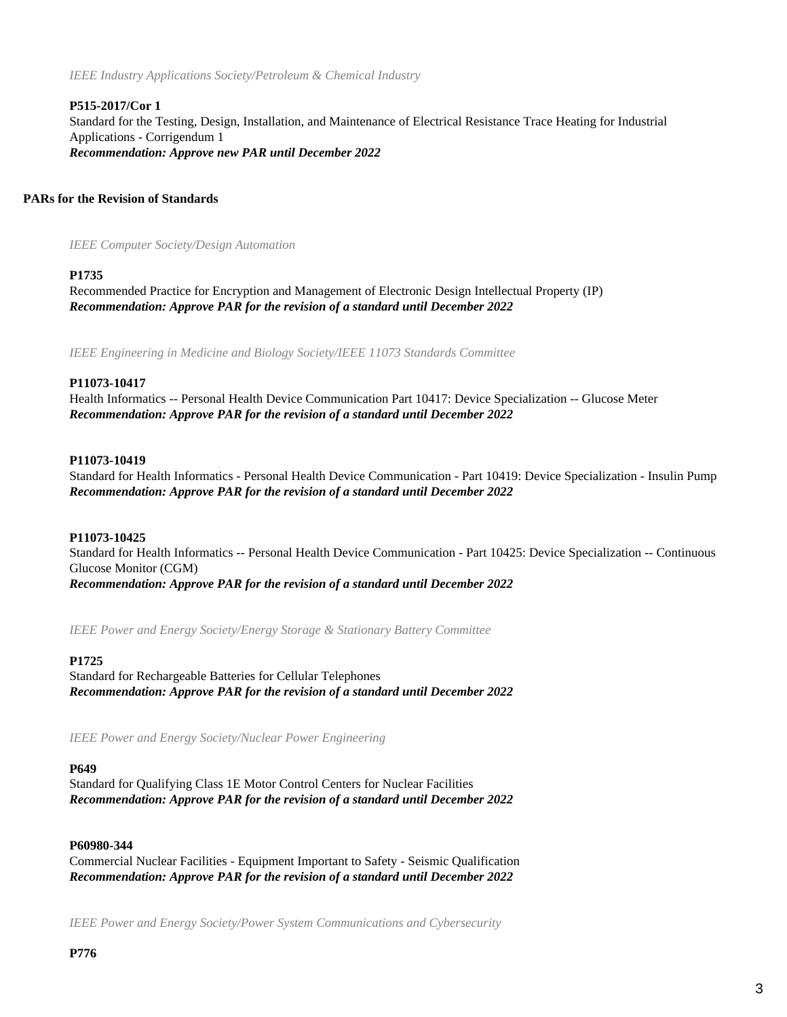*IEEE Industry Applications Society/Petroleum & Chemical Industry*

## **P515-2017/Cor 1**

Standard for the Testing, Design, Installation, and Maintenance of Electrical Resistance Trace Heating for Industrial Applications - Corrigendum 1 *Recommendation: Approve new PAR until December 2022*

#### **PARs for the Revision of Standards**

*IEEE Computer Society/Design Automation*

#### **P1735**

Recommended Practice for Encryption and Management of Electronic Design Intellectual Property (IP) *Recommendation: Approve PAR for the revision of a standard until December 2022*

*IEEE Engineering in Medicine and Biology Society/IEEE 11073 Standards Committee*

#### **P11073-10417**

Health Informatics -- Personal Health Device Communication Part 10417: Device Specialization -- Glucose Meter *Recommendation: Approve PAR for the revision of a standard until December 2022*

#### **P11073-10419**

Standard for Health Informatics - Personal Health Device Communication - Part 10419: Device Specialization - Insulin Pump *Recommendation: Approve PAR for the revision of a standard until December 2022*

#### **P11073-10425**

Standard for Health Informatics -- Personal Health Device Communication - Part 10425: Device Specialization -- Continuous Glucose Monitor (CGM) *Recommendation: Approve PAR for the revision of a standard until December 2022*

*IEEE Power and Energy Society/Energy Storage & Stationary Battery Committee*

#### **P1725**

Standard for Rechargeable Batteries for Cellular Telephones *Recommendation: Approve PAR for the revision of a standard until December 2022*

*IEEE Power and Energy Society/Nuclear Power Engineering*

#### **P649**

Standard for Qualifying Class 1E Motor Control Centers for Nuclear Facilities *Recommendation: Approve PAR for the revision of a standard until December 2022*

#### **P60980-344**

Commercial Nuclear Facilities - Equipment Important to Safety - Seismic Qualification *Recommendation: Approve PAR for the revision of a standard until December 2022*

*IEEE Power and Energy Society/Power System Communications and Cybersecurity*